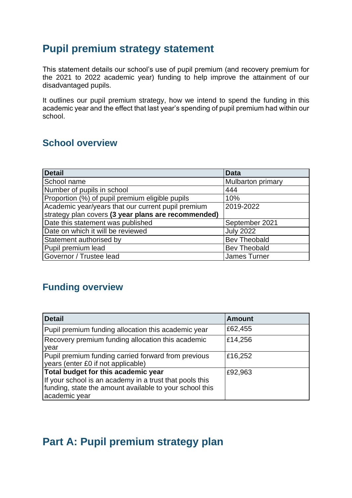# **Pupil premium strategy statement**

This statement details our school's use of pupil premium (and recovery premium for the 2021 to 2022 academic year) funding to help improve the attainment of our disadvantaged pupils.

It outlines our pupil premium strategy, how we intend to spend the funding in this academic year and the effect that last year's spending of pupil premium had within our school.

## **School overview**

| <b>Detail</b>                                       | <b>Data</b>              |
|-----------------------------------------------------|--------------------------|
| School name                                         | <b>Mulbarton primary</b> |
| Number of pupils in school                          | 444                      |
| Proportion (%) of pupil premium eligible pupils     | 10%                      |
| Academic year/years that our current pupil premium  | 2019-2022                |
| strategy plan covers (3 year plans are recommended) |                          |
| Date this statement was published                   | September 2021           |
| Date on which it will be reviewed                   | <b>July 2022</b>         |
| Statement authorised by                             | <b>Bev Theobald</b>      |
| Pupil premium lead                                  | <b>Bev Theobald</b>      |
| Governor / Trustee lead                             | <b>James Turner</b>      |

# **Funding overview**

| <b>Detail</b>                                                                                                                                                              | <b>Amount</b> |
|----------------------------------------------------------------------------------------------------------------------------------------------------------------------------|---------------|
| Pupil premium funding allocation this academic year                                                                                                                        | £62,455       |
| Recovery premium funding allocation this academic<br>year                                                                                                                  | £14,256       |
| Pupil premium funding carried forward from previous<br>years (enter £0 if not applicable)                                                                                  | £16,252       |
| Total budget for this academic year<br>If your school is an academy in a trust that pools this<br>funding, state the amount available to your school this<br>academic year | £92,963       |

# **Part A: Pupil premium strategy plan**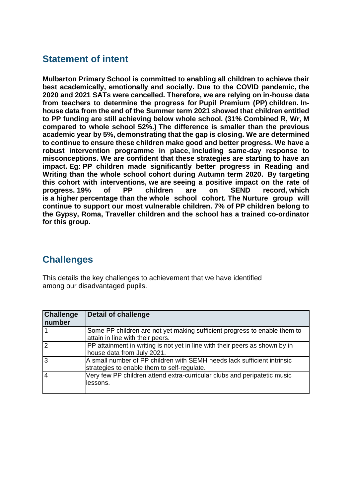## **Statement of intent**

**Mulbarton Primary School is committed to enabling all children to achieve their best academically, emotionally and socially. Due to the COVID pandemic, the 2020 and 2021 SATs were cancelled. Therefore, we are relying on in-house data from teachers to determine the progress for Pupil Premium (PP) children. Inhouse data from the end of the Summer term 2021 showed that children entitled to PP funding are still achieving below whole school. (31% Combined R, Wr, M compared to whole school 52%.) The difference is smaller than the previous academic year by 5%, demonstrating that the gap is closing. We are determined to continue to ensure these children make good and better progress. We have a robust intervention programme in place, including same-day response to misconceptions. We are confident that these strategies are starting to have an impact. Eg: PP children made significantly better progress in Reading and Writing than the whole school cohort during Autumn term 2020. By targeting this cohort with interventions, we are seeing a positive impact on the rate of progress. 19% of PP children are on SEND record, which is a higher percentage than the whole school cohort. The Nurture group will continue to support our most vulnerable children. 7% of PP children belong to the Gypsy, Roma, Traveller children and the school has a trained co-ordinator for this group.**

## **Challenges**

This details the key challenges to achievement that we have identified among our disadvantaged pupils.

| <b>Challenge</b><br>number | <b>Detail of challenge</b>                                                                                             |
|----------------------------|------------------------------------------------------------------------------------------------------------------------|
|                            | Some PP children are not yet making sufficient progress to enable them to<br>attain in line with their peers.          |
| $\overline{2}$             | PP attainment in writing is not yet in line with their peers as shown by in<br>house data from July 2021.              |
| 3                          | A small number of PP children with SEMH needs lack sufficient intrinsic<br>strategies to enable them to self-regulate. |
| 4                          | Very few PP children attend extra-curricular clubs and peripatetic music<br>lessons.                                   |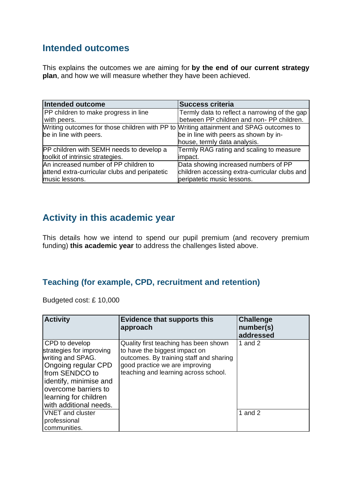## **Intended outcomes**

This explains the outcomes we are aiming for **by the end of our current strategy plan**, and how we will measure whether they have been achieved.

| <b>Intended outcome</b>                                                                | <b>Success criteria</b>                       |
|----------------------------------------------------------------------------------------|-----------------------------------------------|
| PP children to make progress in line                                                   | Termly data to reflect a narrowing of the gap |
| with peers.                                                                            | between PP children and non- PP children.     |
| Writing outcomes for those children with PP to Writing attainment and SPAG outcomes to |                                               |
| be in line with peers.                                                                 | be in line with peers as shown by in-         |
|                                                                                        | house, termly data analysis.                  |
| PP children with SEMH needs to develop a                                               | Termly RAG rating and scaling to measure      |
| toolkit of intrinsic strategies.                                                       | impact.                                       |
| An increased number of PP children to                                                  | Data showing increased numbers of PP          |
| attend extra-curricular clubs and peripatetic                                          | children accessing extra-curricular clubs and |
| music lessons.                                                                         | peripatetic music lessons.                    |

## **Activity in this academic year**

This details how we intend to spend our pupil premium (and recovery premium funding) **this academic year** to address the challenges listed above.

#### **Teaching (for example, CPD, recruitment and retention)**

Budgeted cost: £ 10,000

| <b>Activity</b>                                                                                                                                                                                               | <b>Evidence that supports this</b><br>approach                                                                                                                                              | <b>Challenge</b><br>number(s)<br>addressed |
|---------------------------------------------------------------------------------------------------------------------------------------------------------------------------------------------------------------|---------------------------------------------------------------------------------------------------------------------------------------------------------------------------------------------|--------------------------------------------|
| CPD to develop<br>strategies for improving<br>writing and SPAG.<br>Ongoing regular CPD<br>from SENDCO to<br>identify, minimise and<br>overcome barriers to<br>learning for children<br>with additional needs. | Quality first teaching has been shown<br>to have the biggest impact on<br>outcomes. By training staff and sharing<br>good practice we are improving<br>teaching and learning across school. | 1 and $2$                                  |
| <b>VNET and cluster</b>                                                                                                                                                                                       |                                                                                                                                                                                             | 1 and $2$                                  |
|                                                                                                                                                                                                               |                                                                                                                                                                                             |                                            |
| professional<br>communities.                                                                                                                                                                                  |                                                                                                                                                                                             |                                            |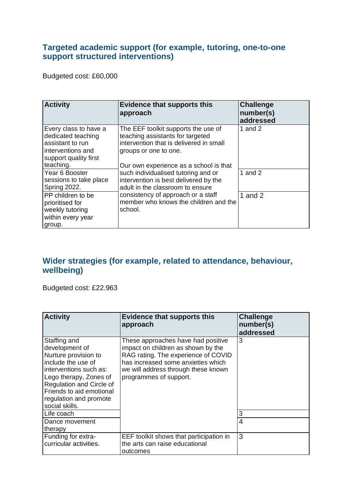#### **Targeted academic support (for example, tutoring, one-to-one support structured interventions)**

Budgeted cost: £60,000

| <b>Activity</b>                                                                                                            | <b>Evidence that supports this</b><br>approach                                                                                                                                        | <b>Challenge</b><br>number(s)<br>addressed |
|----------------------------------------------------------------------------------------------------------------------------|---------------------------------------------------------------------------------------------------------------------------------------------------------------------------------------|--------------------------------------------|
| Every class to have a<br>dedicated teaching<br>assistant to run<br>interventions and<br>support quality first<br>teaching. | The EEF toolkit supports the use of<br>teaching assistants for targeted<br>intervention that is delivered in small<br>groups or one to one.<br>Our own experience as a school is that | 1 and $2$                                  |
| Year 6 Booster<br>sessions to take place<br>Spring 2022.                                                                   | such individualised tutoring and or<br>intervention is best delivered by the<br>adult in the classroom to ensure                                                                      | 1 and $2$                                  |
| PP children to be<br>prioritised for<br>weekly tutoring<br>within every year<br>group.                                     | consistency of approach or a staff<br>member who knows the children and the<br>school.                                                                                                | 1 and $2$                                  |

### **Wider strategies (for example, related to attendance, behaviour, wellbeing)**

Budgeted cost: £22.963

| <b>Activity</b>                                                                                                                                                                                                                      | <b>Evidence that supports this</b><br>approach                                                                                                                                                                         | <b>Challenge</b><br>number(s)<br>addressed |
|--------------------------------------------------------------------------------------------------------------------------------------------------------------------------------------------------------------------------------------|------------------------------------------------------------------------------------------------------------------------------------------------------------------------------------------------------------------------|--------------------------------------------|
| Staffing and<br>development of<br>Nurture provision to<br>include the use of<br>interventions such as:<br>Lego therapy, Zones of<br>Regulation and Circle of<br>Friends to aid emotional<br>regulation and promote<br>social skills. | These approaches have had positive<br>impact on children as shown by the<br>RAG rating. The experience of COVID<br>has increased some anxieties which<br>we will address through these known<br>programmes of support. | 3                                          |
| Life coach                                                                                                                                                                                                                           |                                                                                                                                                                                                                        | 3                                          |
| Dance movement<br>therapy                                                                                                                                                                                                            |                                                                                                                                                                                                                        | 4                                          |
| Funding for extra-<br>curricular activities.                                                                                                                                                                                         | EEF toolkit shows that participation in<br>the arts can raise educational<br>outcomes                                                                                                                                  | 3                                          |